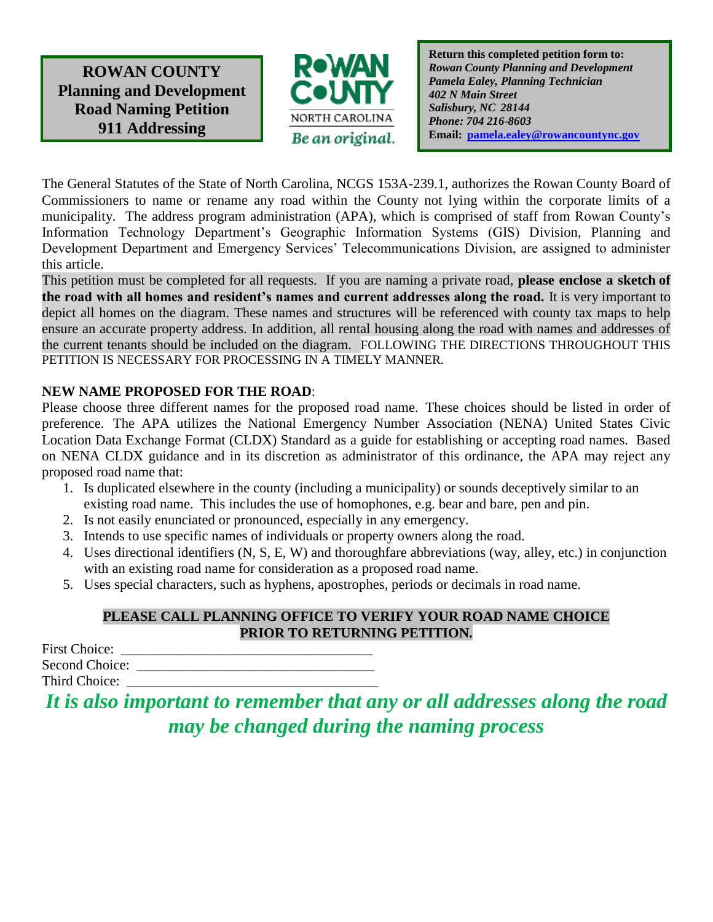**ROWAN COUNTY Planning and Development Road Naming Petition 911 Addressing**



**Return this completed petition form to:** *Rowan County Planning and Development Pamela Ealey, Planning Technician 402 N Main Street Salisbury, NC 28144 Phone: 704 216-8603* **Email: [pamela.ealey@rowancountync.gov](mailto:pamela.ealey@rowancountync.gov)**

The General Statutes of the State of North Carolina, NCGS 153A-239.1, authorizes the Rowan County Board of Commissioners to name or rename any road within the County not lying within the corporate limits of a municipality. The address program administration (APA), which is comprised of staff from Rowan County's Information Technology Department's Geographic Information Systems (GIS) Division, Planning and Development Department and Emergency Services' Telecommunications Division, are assigned to administer this article.

This petition must be completed for all requests. If you are naming a private road, **please enclose a sketch of the road with all homes and resident's names and current addresses along the road.** It is very important to depict all homes on the diagram. These names and structures will be referenced with county tax maps to help ensure an accurate property address. In addition, all rental housing along the road with names and addresses of the current tenants should be included on the diagram. FOLLOWING THE DIRECTIONS THROUGHOUT THIS PETITION IS NECESSARY FOR PROCESSING IN A TIMELY MANNER.

# **NEW NAME PROPOSED FOR THE ROAD**:

Please choose three different names for the proposed road name. These choices should be listed in order of preference. The APA utilizes the National Emergency Number Association (NENA) United States Civic Location Data Exchange Format (CLDX) Standard as a guide for establishing or accepting road names. Based on NENA CLDX guidance and in its discretion as administrator of this ordinance, the APA may reject any proposed road name that:

- 1. Is duplicated elsewhere in the county (including a municipality) or sounds deceptively similar to an existing road name. This includes the use of homophones, e.g. bear and bare, pen and pin.
- 2. Is not easily enunciated or pronounced, especially in any emergency.
- 3. Intends to use specific names of individuals or property owners along the road.
- 4. Uses directional identifiers (N, S, E, W) and thoroughfare abbreviations (way, alley, etc.) in conjunction with an existing road name for consideration as a proposed road name.
- 5. Uses special characters, such as hyphens, apostrophes, periods or decimals in road name.

### **PLEASE CALL PLANNING OFFICE TO VERIFY YOUR ROAD NAME CHOICE PRIOR TO RETURNING PETITION.**

First Choice: Second Choice: Third Choice:

*It is also important to remember that any or all addresses along the road may be changed during the naming process*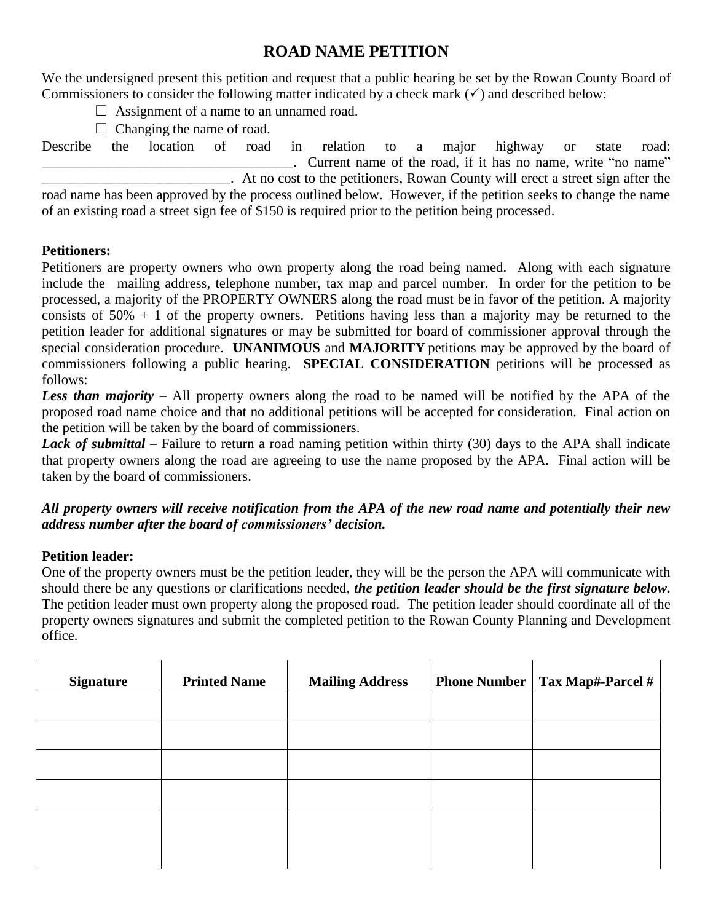# **ROAD NAME PETITION**

We the undersigned present this petition and request that a public hearing be set by the Rowan County Board of Commissioners to consider the following matter indicated by a check mark  $(\checkmark)$  and described below:

 $\Box$  Assignment of a name to an unnamed road.

 $\Box$  Changing the name of road.

Describe the location of road in relation to a major highway or state road: . Current name of the road, if it has no name, write "no name" \_\_\_\_\_\_\_\_\_\_\_\_\_\_\_\_\_\_\_\_\_\_\_\_\_\_\_. At no cost to the petitioners, Rowan County will erect a street sign after the road name has been approved by the process outlined below. However, if the petition seeks to change the name of an existing road a street sign fee of \$150 is required prior to the petition being processed.

# **Petitioners:**

Petitioners are property owners who own property along the road being named. Along with each signature include the mailing address, telephone number, tax map and parcel number. In order for the petition to be processed, a majority of the PROPERTY OWNERS along the road must be in favor of the petition. A majority consists of  $50\% + 1$  of the property owners. Petitions having less than a majority may be returned to the petition leader for additional signatures or may be submitted for board of commissioner approval through the special consideration procedure. **UNANIMOUS** and **MAJORITY** petitions may be approved by the board of commissioners following a public hearing. **SPECIAL CONSIDERATION** petitions will be processed as follows:

*Less than majority* – All property owners along the road to be named will be notified by the APA of the proposed road name choice and that no additional petitions will be accepted for consideration. Final action on the petition will be taken by the board of commissioners.

*Lack of submittal* – Failure to return a road naming petition within thirty (30) days to the APA shall indicate that property owners along the road are agreeing to use the name proposed by the APA. Final action will be taken by the board of commissioners.

# *All property owners will receive notification from the APA of the new road name and potentially their new address number after the board of commissioners' decision.*

### **Petition leader:**

One of the property owners must be the petition leader, they will be the person the APA will communicate with should there be any questions or clarifications needed, *the petition leader should be the first signature below.* The petition leader must own property along the proposed road. The petition leader should coordinate all of the property owners signatures and submit the completed petition to the Rowan County Planning and Development office.

| <b>Signature</b> | <b>Printed Name</b> | <b>Mailing Address</b> | <b>Phone Number   Tax Map#-Parcel #</b> |
|------------------|---------------------|------------------------|-----------------------------------------|
|                  |                     |                        |                                         |
|                  |                     |                        |                                         |
|                  |                     |                        |                                         |
|                  |                     |                        |                                         |
|                  |                     |                        |                                         |
|                  |                     |                        |                                         |